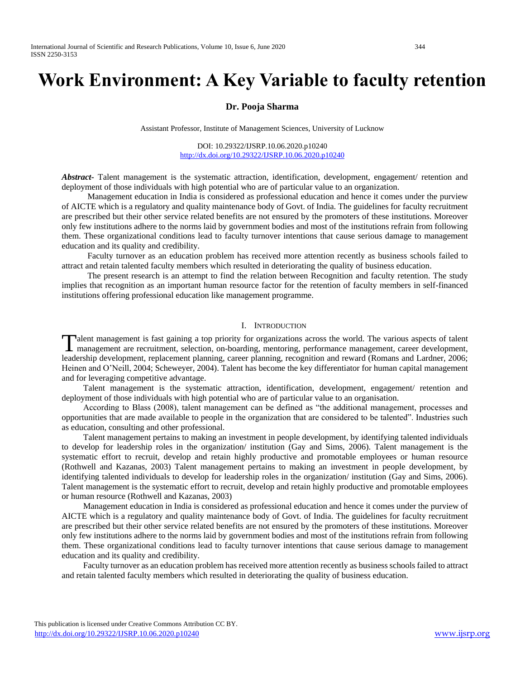# **Work Environment: A Key Variable to faculty retention**

## **Dr. Pooja Sharma**

Assistant Professor, Institute of Management Sciences, University of Lucknow

DOI: 10.29322/IJSRP.10.06.2020.p10240 <http://dx.doi.org/10.29322/IJSRP.10.06.2020.p10240>

*Abstract***-** Talent management is the systematic attraction, identification, development, engagement/ retention and deployment of those individuals with high potential who are of particular value to an organization.

 Management education in India is considered as professional education and hence it comes under the purview of AICTE which is a regulatory and quality maintenance body of Govt. of India. The guidelines for faculty recruitment are prescribed but their other service related benefits are not ensured by the promoters of these institutions. Moreover only few institutions adhere to the norms laid by government bodies and most of the institutions refrain from following them. These organizational conditions lead to faculty turnover intentions that cause serious damage to management education and its quality and credibility.

 Faculty turnover as an education problem has received more attention recently as business schools failed to attract and retain talented faculty members which resulted in deteriorating the quality of business education.

 The present research is an attempt to find the relation between Recognition and faculty retention. The study implies that recognition as an important human resource factor for the retention of faculty members in self-financed institutions offering professional education like management programme.

## I. INTRODUCTION

alent management is fast gaining a top priority for organizations across the world. The various aspects of talent Talent management is fast gaining a top priority for organizations across the world. The various aspects of talent management are recruitment, selection, on-boarding, mentoring, performance management, career development, leadership development, replacement planning, career planning, recognition and reward (Romans and Lardner, 2006; Heinen and O'Neill, 2004; Scheweyer, 2004). Talent has become the key differentiator for human capital management and for leveraging competitive advantage.

 Talent management is the systematic attraction, identification, development, engagement/ retention and deployment of those individuals with high potential who are of particular value to an organisation.

 According to Blass (2008), talent management can be defined as "the additional management, processes and opportunities that are made available to people in the organization that are considered to be talented". Industries such as education, consulting and other professional.

 Talent management pertains to making an investment in people development, by identifying talented individuals to develop for leadership roles in the organization/ institution (Gay and Sims, 2006). Talent management is the systematic effort to recruit, develop and retain highly productive and promotable employees or human resource (Rothwell and Kazanas, 2003) Talent management pertains to making an investment in people development, by identifying talented individuals to develop for leadership roles in the organization/ institution (Gay and Sims, 2006). Talent management is the systematic effort to recruit, develop and retain highly productive and promotable employees or human resource (Rothwell and Kazanas, 2003)

 Management education in India is considered as professional education and hence it comes under the purview of AICTE which is a regulatory and quality maintenance body of Govt. of India. The guidelines for faculty recruitment are prescribed but their other service related benefits are not ensured by the promoters of these institutions. Moreover only few institutions adhere to the norms laid by government bodies and most of the institutions refrain from following them. These organizational conditions lead to faculty turnover intentions that cause serious damage to management education and its quality and credibility.

 Faculty turnover as an education problem has received more attention recently as business schools failed to attract and retain talented faculty members which resulted in deteriorating the quality of business education.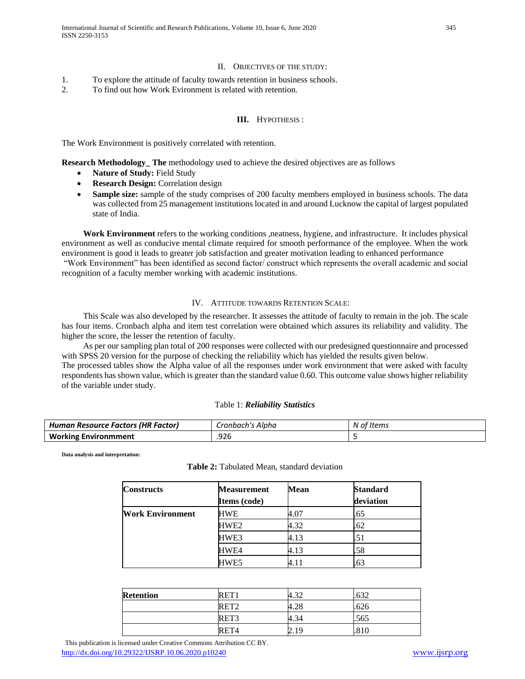## II. OBJECTIVES OF THE STUDY:

- 1. To explore the attitude of faculty towards retention in business schools.
- 2. To find out how Work Evironment is related with retention.

### **III.** HYPOTHESIS :

The Work Environment is positively correlated with retention.

**Research Methodology** The methodology used to achieve the desired objectives are as follows

- **Nature of Study:** Field Study
- **Research Design:** Correlation design
- **Sample size:** sample of the study comprises of 200 faculty members employed in business schools. The data was collected from 25 management institutions located in and around Lucknow the capital of largest populated state of India.

 **Work Environment** refers to the working conditions ,neatness, hygiene, and infrastructure. It includes physical environment as well as conducive mental climate required for smooth performance of the employee. When the work environment is good it leads to greater job satisfaction and greater motivation leading to enhanced performance

"Work Environment" has been identified as second factor/ construct which represents the overall academic and social recognition of a faculty member working with academic institutions.

#### IV. ATTITUDE TOWARDS RETENTION SCALE:

 This Scale was also developed by the researcher. It assesses the attitude of faculty to remain in the job. The scale has four items. Cronbach alpha and item test correlation were obtained which assures its reliability and validity. The higher the score, the lesser the retention of faculty.

 As per our sampling plan total of 200 responses were collected with our predesigned questionnaire and processed with SPSS 20 version for the purpose of checking the reliability which has yielded the results given below. The processed tables show the Alpha value of all the responses under work environment that were asked with faculty respondents has shown value, which is greater than the standard value 0.60. This outcome value shows higher reliability of the variable under study.

#### Table 1: *Reliability Statistics*

| Human Resource Factors (HR Factor) | Cronbach's Alpha | * Items<br>N of |
|------------------------------------|------------------|-----------------|
| <b>Working Environmment</b>        | .926             |                 |

**Data analysis and interpretation:**

|  | Table 2: Tabulated Mean, standard deviation |  |  |  |
|--|---------------------------------------------|--|--|--|
|--|---------------------------------------------|--|--|--|

| <b>Constructs</b>       | <b>Measurement</b> | <b>Mean</b> | <b>Standard</b> |
|-------------------------|--------------------|-------------|-----------------|
|                         | Items (code)       |             | deviation       |
| <b>Work Environment</b> | HWE                | 4.07        | .65             |
|                         | HWE2               | 4.32        | .62             |
|                         | HWE3               | 4.13        | .51             |
|                         | HWE4               | 4.13        | .58             |
|                         | HWE5               | 4.11        | .63             |

| <b>Retention</b> | <b>RET</b>       | $\Omega$<br>⊿ں — | 632  |  |
|------------------|------------------|------------------|------|--|
|                  | RET <sub>2</sub> | 4.28             | .626 |  |
|                  | RET3             | 4.34             | .565 |  |
|                  | RET <sub>4</sub> | 2.19             | .810 |  |

 This publication is licensed under Creative Commons Attribution CC BY. <http://dx.doi.org/10.29322/IJSRP.10.06.2020.p10240> [www.ijsrp.org](http://ijsrp.org/)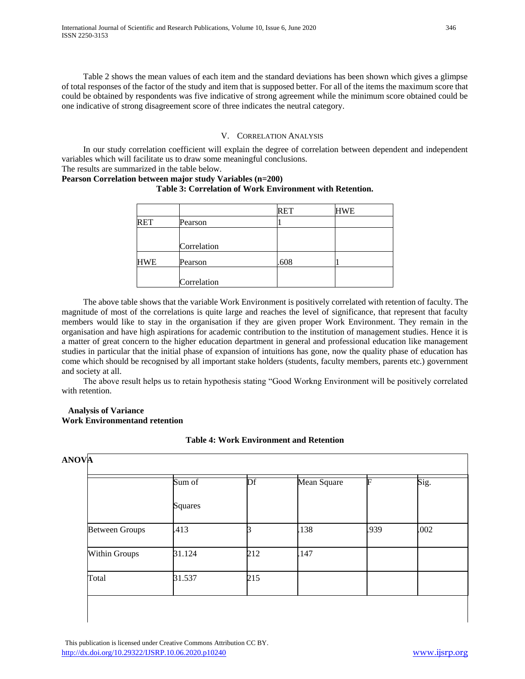Table 2 shows the mean values of each item and the standard deviations has been shown which gives a glimpse of total responses of the factor of the study and item that is supposed better. For all of the items the maximum score that could be obtained by respondents was five indicative of strong agreement while the minimum score obtained could be one indicative of strong disagreement score of three indicates the neutral category.

## V. CORRELATION ANALYSIS

 In our study correlation coefficient will explain the degree of correlation between dependent and independent variables which will facilitate us to draw some meaningful conclusions.

The results are summarized in the table below.

## **Pearson Correlation between major study Variables (n=200)**

## **Table 3: Correlation of Work Environment with Retention.**

|            |             | <b>RET</b> | HWE |
|------------|-------------|------------|-----|
| <b>RET</b> | Pearson     |            |     |
|            | Correlation |            |     |
| <b>HWE</b> | Pearson     | .608       |     |
|            | Correlation |            |     |

 The above table shows that the variable Work Environment is positively correlated with retention of faculty. The magnitude of most of the correlations is quite large and reaches the level of significance, that represent that faculty members would like to stay in the organisation if they are given proper Work Environment. They remain in the organisation and have high aspirations for academic contribution to the institution of management studies. Hence it is a matter of great concern to the higher education department in general and professional education like management studies in particular that the initial phase of expansion of intuitions has gone, now the quality phase of education has come which should be recognised by all important stake holders (students, faculty members, parents etc.) government and society at all.

 The above result helps us to retain hypothesis stating "Good Workng Environment will be positively correlated with retention.

## **Analysis of Variance Work Environmentand retention**

## **Table 4: Work Environment and Retention**

|                       | Sum of<br><b>Squares</b> | Df  | Mean Square | E    | Sig. |
|-----------------------|--------------------------|-----|-------------|------|------|
|                       |                          |     |             |      |      |
| <b>Between Groups</b> | .413                     |     | .138        | .939 | .002 |
| <b>Within Groups</b>  | 31.124                   | 212 | 147         |      |      |
| Total                 | 31.537                   | 215 |             |      |      |

 This publication is licensed under Creative Commons Attribution CC BY. <http://dx.doi.org/10.29322/IJSRP.10.06.2020.p10240> [www.ijsrp.org](http://ijsrp.org/)